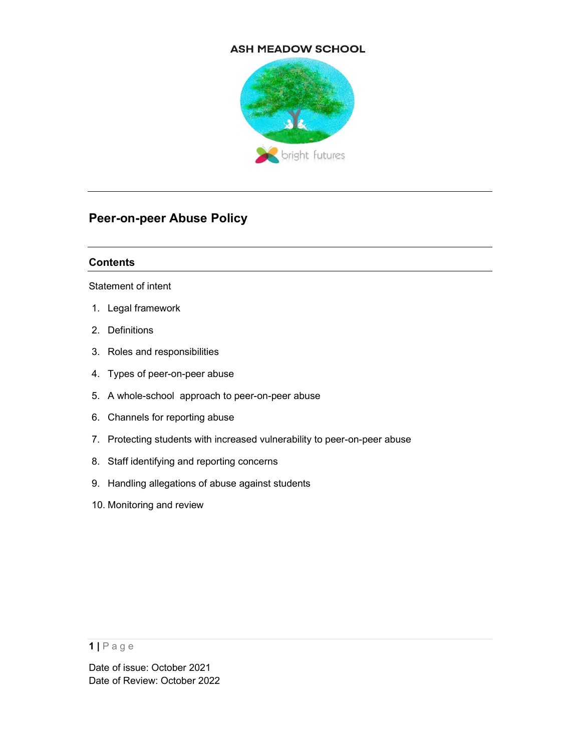### **ASH MEADOW SCHOOL**



# Peer-on-peer Abuse Policy

### **Contents**

Statement of intent

- 1. Legal framework
- 2. Definitions
- 3. Roles and responsibilities
- 4. Types of peer-on-peer abuse
- 5. A whole-school approach to peer-on-peer abuse
- 6. Channels for reporting abuse
- 7. Protecting students with increased vulnerability to peer-on-peer abuse
- 8. Staff identifying and reporting concerns
- 9. Handling allegations of abuse against students
- 10. Monitoring and review

<sup>1 |</sup> P a g e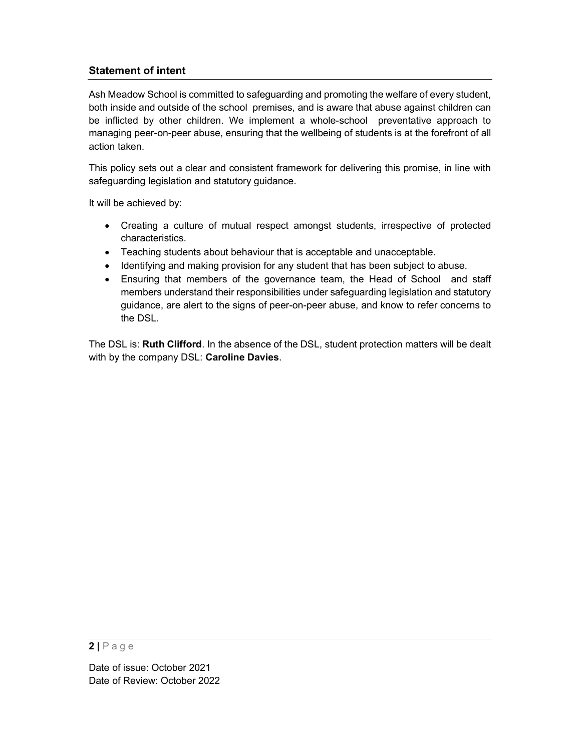# Statement of intent

Ash Meadow School is committed to safeguarding and promoting the welfare of every student, both inside and outside of the school premises, and is aware that abuse against children can be inflicted by other children. We implement a whole-school preventative approach to managing peer-on-peer abuse, ensuring that the wellbeing of students is at the forefront of all action taken.

This policy sets out a clear and consistent framework for delivering this promise, in line with safeguarding legislation and statutory guidance.

It will be achieved by:

- Creating a culture of mutual respect amongst students, irrespective of protected characteristics.
- Teaching students about behaviour that is acceptable and unacceptable.
- Identifying and making provision for any student that has been subject to abuse.
- Ensuring that members of the governance team, the Head of School and staff members understand their responsibilities under safeguarding legislation and statutory guidance, are alert to the signs of peer-on-peer abuse, and know to refer concerns to the DSL.

The DSL is: Ruth Clifford. In the absence of the DSL, student protection matters will be dealt with by the company DSL: Caroline Davies.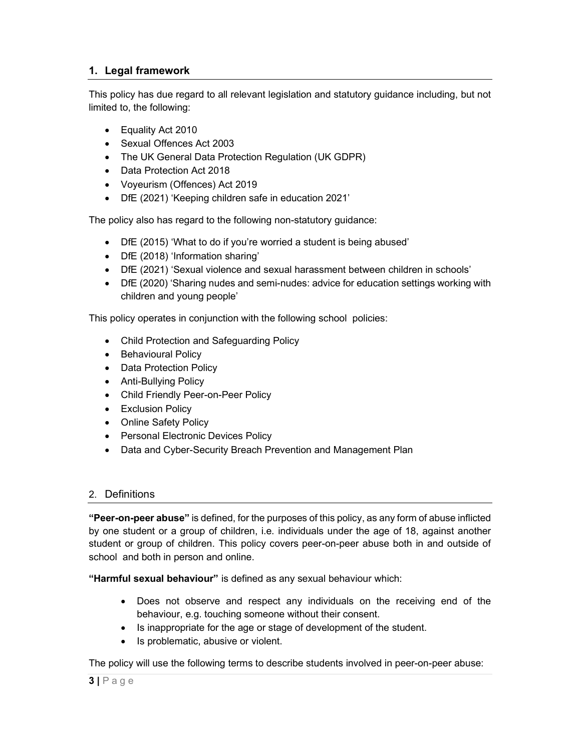# 1. Legal framework

This policy has due regard to all relevant legislation and statutory guidance including, but not limited to, the following:

- Equality Act 2010
- Sexual Offences Act 2003
- The UK General Data Protection Regulation (UK GDPR)
- Data Protection Act 2018
- Voyeurism (Offences) Act 2019
- DfE (2021) 'Keeping children safe in education 2021'

The policy also has regard to the following non-statutory guidance:

- DfE (2015) 'What to do if you're worried a student is being abused'
- DfE (2018) 'Information sharing'
- DfE (2021) 'Sexual violence and sexual harassment between children in schools'
- DfE (2020) 'Sharing nudes and semi-nudes: advice for education settings working with children and young people'

This policy operates in conjunction with the following school policies:

- Child Protection and Safeguarding Policy
- Behavioural Policy
- Data Protection Policy
- Anti-Bullying Policy
- Child Friendly Peer-on-Peer Policy
- **•** Exclusion Policy
- Online Safety Policy
- Personal Electronic Devices Policy
- Data and Cyber-Security Breach Prevention and Management Plan

## 2. Definitions

"Peer-on-peer abuse" is defined, for the purposes of this policy, as any form of abuse inflicted by one student or a group of children, i.e. individuals under the age of 18, against another student or group of children. This policy covers peer-on-peer abuse both in and outside of school and both in person and online.

"Harmful sexual behaviour" is defined as any sexual behaviour which:

- Does not observe and respect any individuals on the receiving end of the behaviour, e.g. touching someone without their consent.
- Is inappropriate for the age or stage of development of the student.
- Is problematic, abusive or violent.

The policy will use the following terms to describe students involved in peer-on-peer abuse: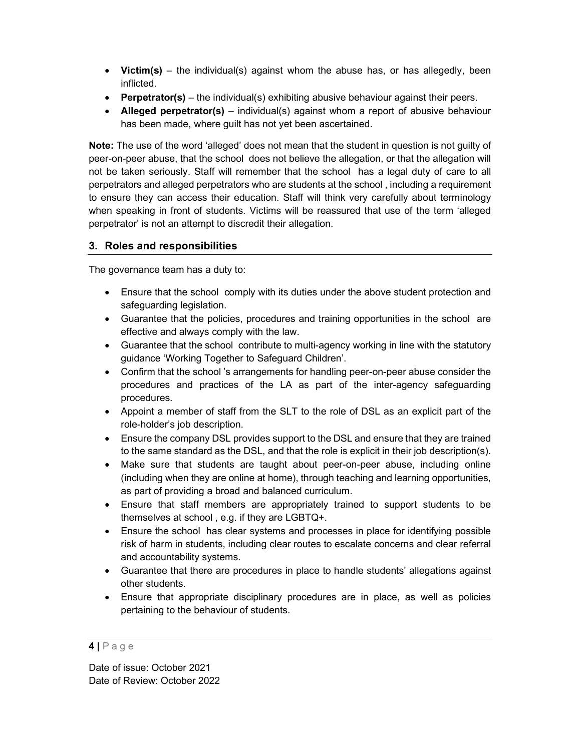- Victim(s) the individual(s) against whom the abuse has, or has allegedly, been inflicted.
- **Perpetrator(s)** the individual(s) exhibiting abusive behaviour against their peers.
- Alleged perpetrator(s) individual(s) against whom a report of abusive behaviour has been made, where guilt has not yet been ascertained.

Note: The use of the word 'alleged' does not mean that the student in question is not guilty of peer-on-peer abuse, that the school does not believe the allegation, or that the allegation will not be taken seriously. Staff will remember that the school has a legal duty of care to all perpetrators and alleged perpetrators who are students at the school , including a requirement to ensure they can access their education. Staff will think very carefully about terminology when speaking in front of students. Victims will be reassured that use of the term 'alleged perpetrator' is not an attempt to discredit their allegation.

# 3. Roles and responsibilities

The governance team has a duty to:

- Ensure that the school comply with its duties under the above student protection and safeguarding legislation.
- Guarantee that the policies, procedures and training opportunities in the school are effective and always comply with the law.
- Guarantee that the school contribute to multi-agency working in line with the statutory guidance 'Working Together to Safeguard Children'.
- Confirm that the school 's arrangements for handling peer-on-peer abuse consider the procedures and practices of the LA as part of the inter-agency safeguarding procedures.
- Appoint a member of staff from the SLT to the role of DSL as an explicit part of the role-holder's job description.
- Ensure the company DSL provides support to the DSL and ensure that they are trained to the same standard as the DSL, and that the role is explicit in their job description(s).
- Make sure that students are taught about peer-on-peer abuse, including online (including when they are online at home), through teaching and learning opportunities, as part of providing a broad and balanced curriculum.
- Ensure that staff members are appropriately trained to support students to be themselves at school , e.g. if they are LGBTQ+.
- Ensure the school has clear systems and processes in place for identifying possible risk of harm in students, including clear routes to escalate concerns and clear referral and accountability systems.
- Guarantee that there are procedures in place to handle students' allegations against other students.
- Ensure that appropriate disciplinary procedures are in place, as well as policies pertaining to the behaviour of students.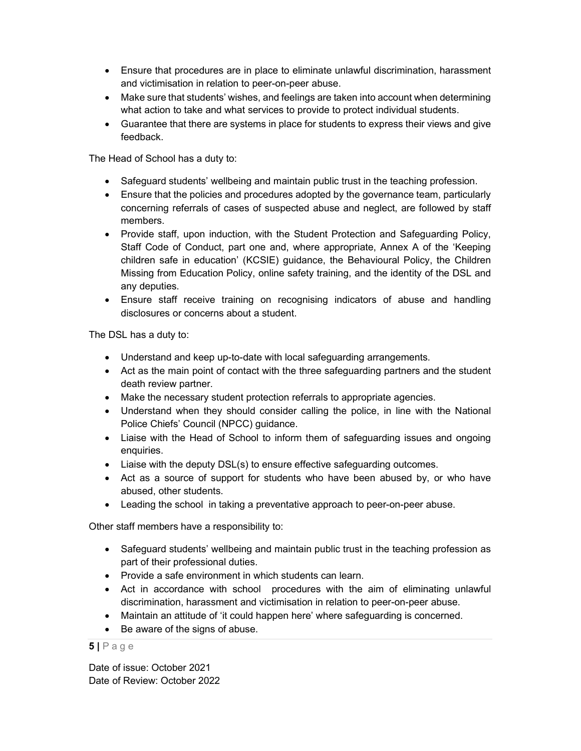- Ensure that procedures are in place to eliminate unlawful discrimination, harassment and victimisation in relation to peer-on-peer abuse.
- Make sure that students' wishes, and feelings are taken into account when determining what action to take and what services to provide to protect individual students.
- Guarantee that there are systems in place for students to express their views and give feedback.

The Head of School has a duty to:

- Safeguard students' wellbeing and maintain public trust in the teaching profession.
- Ensure that the policies and procedures adopted by the governance team, particularly concerning referrals of cases of suspected abuse and neglect, are followed by staff members.
- Provide staff, upon induction, with the Student Protection and Safeguarding Policy, Staff Code of Conduct, part one and, where appropriate, Annex A of the 'Keeping children safe in education' (KCSIE) guidance, the Behavioural Policy, the Children Missing from Education Policy, online safety training, and the identity of the DSL and any deputies.
- Ensure staff receive training on recognising indicators of abuse and handling disclosures or concerns about a student.

The DSL has a duty to:

- Understand and keep up-to-date with local safeguarding arrangements.
- Act as the main point of contact with the three safeguarding partners and the student death review partner.
- Make the necessary student protection referrals to appropriate agencies.
- Understand when they should consider calling the police, in line with the National Police Chiefs' Council (NPCC) guidance.
- Liaise with the Head of School to inform them of safeguarding issues and ongoing enquiries.
- Liaise with the deputy DSL(s) to ensure effective safeguarding outcomes.
- Act as a source of support for students who have been abused by, or who have abused, other students.
- Leading the school in taking a preventative approach to peer-on-peer abuse.

Other staff members have a responsibility to:

- Safeguard students' wellbeing and maintain public trust in the teaching profession as part of their professional duties.
- Provide a safe environment in which students can learn.
- Act in accordance with school procedures with the aim of eliminating unlawful discrimination, harassment and victimisation in relation to peer-on-peer abuse.
- Maintain an attitude of 'it could happen here' where safeguarding is concerned.
- Be aware of the signs of abuse.

 $5$  | P a g e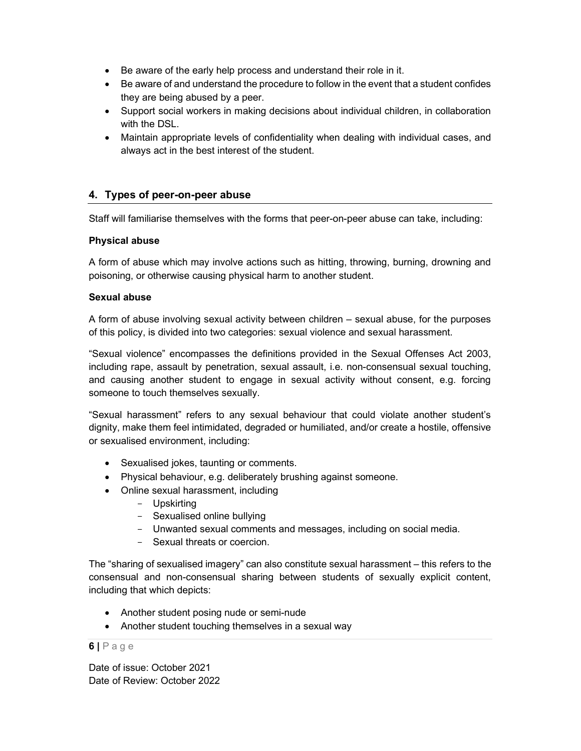- Be aware of the early help process and understand their role in it.
- Be aware of and understand the procedure to follow in the event that a student confides they are being abused by a peer.
- Support social workers in making decisions about individual children, in collaboration with the DSL.
- Maintain appropriate levels of confidentiality when dealing with individual cases, and always act in the best interest of the student.

# 4. Types of peer-on-peer abuse

Staff will familiarise themselves with the forms that peer-on-peer abuse can take, including:

#### Physical abuse

A form of abuse which may involve actions such as hitting, throwing, burning, drowning and poisoning, or otherwise causing physical harm to another student.

#### Sexual abuse

A form of abuse involving sexual activity between children – sexual abuse, for the purposes of this policy, is divided into two categories: sexual violence and sexual harassment.

"Sexual violence" encompasses the definitions provided in the Sexual Offenses Act 2003, including rape, assault by penetration, sexual assault, i.e. non-consensual sexual touching, and causing another student to engage in sexual activity without consent, e.g. forcing someone to touch themselves sexually.

"Sexual harassment" refers to any sexual behaviour that could violate another student's dignity, make them feel intimidated, degraded or humiliated, and/or create a hostile, offensive or sexualised environment, including:

- Sexualised jokes, taunting or comments.
- Physical behaviour, e.g. deliberately brushing against someone.
- Online sexual harassment, including
	- Upskirting
	- Sexualised online bullying
	- Unwanted sexual comments and messages, including on social media.
	- Sexual threats or coercion.

The "sharing of sexualised imagery" can also constitute sexual harassment – this refers to the consensual and non-consensual sharing between students of sexually explicit content, including that which depicts:

- Another student posing nude or semi-nude
- Another student touching themselves in a sexual way

#### 6 | P a g e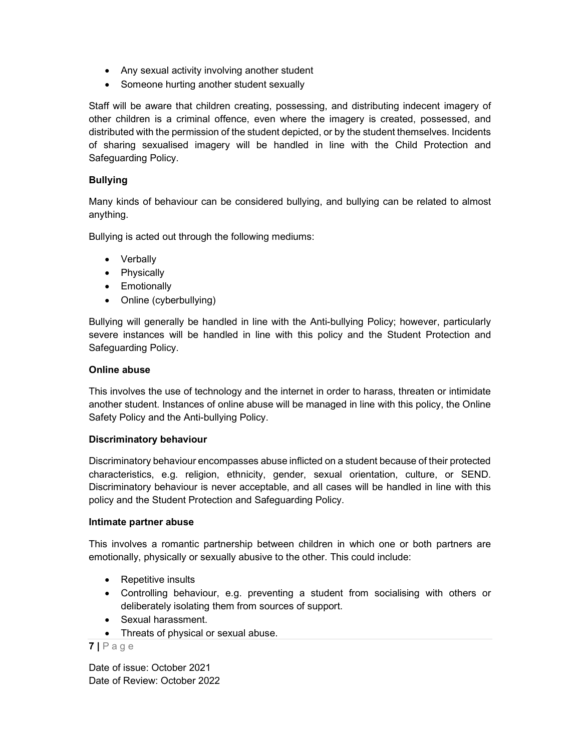- Any sexual activity involving another student
- Someone hurting another student sexually

Staff will be aware that children creating, possessing, and distributing indecent imagery of other children is a criminal offence, even where the imagery is created, possessed, and distributed with the permission of the student depicted, or by the student themselves. Incidents of sharing sexualised imagery will be handled in line with the Child Protection and Safeguarding Policy.

### Bullying

Many kinds of behaviour can be considered bullying, and bullying can be related to almost anything.

Bullying is acted out through the following mediums:

- Verbally
- Physically
- **•** Emotionally
- Online (cyberbullying)

Bullying will generally be handled in line with the Anti-bullying Policy; however, particularly severe instances will be handled in line with this policy and the Student Protection and Safeguarding Policy.

#### Online abuse

This involves the use of technology and the internet in order to harass, threaten or intimidate another student. Instances of online abuse will be managed in line with this policy, the Online Safety Policy and the Anti-bullying Policy.

#### Discriminatory behaviour

Discriminatory behaviour encompasses abuse inflicted on a student because of their protected characteristics, e.g. religion, ethnicity, gender, sexual orientation, culture, or SEND. Discriminatory behaviour is never acceptable, and all cases will be handled in line with this policy and the Student Protection and Safeguarding Policy.

#### Intimate partner abuse

This involves a romantic partnership between children in which one or both partners are emotionally, physically or sexually abusive to the other. This could include:

- Repetitive insults
- Controlling behaviour, e.g. preventing a student from socialising with others or deliberately isolating them from sources of support.
- Sexual harassment.
- Threats of physical or sexual abuse.

 $7 P a q e$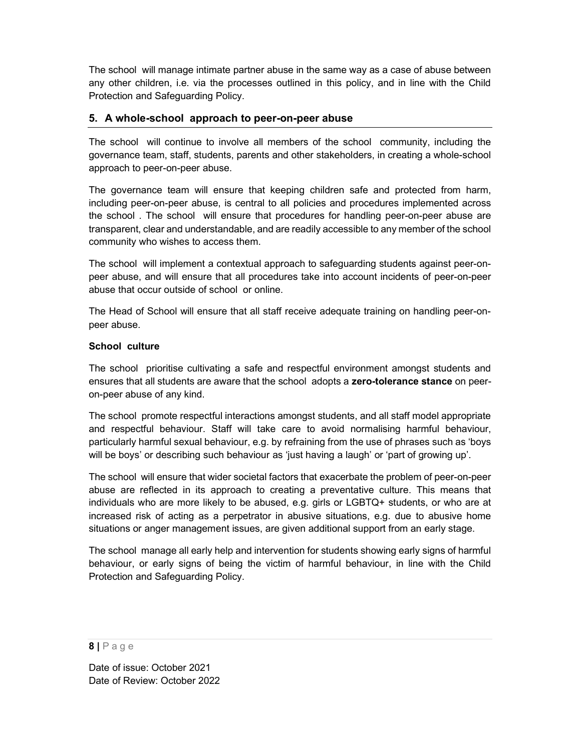The school will manage intimate partner abuse in the same way as a case of abuse between any other children, i.e. via the processes outlined in this policy, and in line with the Child Protection and Safeguarding Policy.

### 5. A whole-school approach to peer-on-peer abuse

The school will continue to involve all members of the school community, including the governance team, staff, students, parents and other stakeholders, in creating a whole-school approach to peer-on-peer abuse.

The governance team will ensure that keeping children safe and protected from harm, including peer-on-peer abuse, is central to all policies and procedures implemented across the school . The school will ensure that procedures for handling peer-on-peer abuse are transparent, clear and understandable, and are readily accessible to any member of the school community who wishes to access them.

The school will implement a contextual approach to safeguarding students against peer-onpeer abuse, and will ensure that all procedures take into account incidents of peer-on-peer abuse that occur outside of school or online.

The Head of School will ensure that all staff receive adequate training on handling peer-onpeer abuse.

#### School culture

The school prioritise cultivating a safe and respectful environment amongst students and ensures that all students are aware that the school adopts a zero-tolerance stance on peeron-peer abuse of any kind.

The school promote respectful interactions amongst students, and all staff model appropriate and respectful behaviour. Staff will take care to avoid normalising harmful behaviour, particularly harmful sexual behaviour, e.g. by refraining from the use of phrases such as 'boys will be boys' or describing such behaviour as 'just having a laugh' or 'part of growing up'.

The school will ensure that wider societal factors that exacerbate the problem of peer-on-peer abuse are reflected in its approach to creating a preventative culture. This means that individuals who are more likely to be abused, e.g. girls or LGBTQ+ students, or who are at increased risk of acting as a perpetrator in abusive situations, e.g. due to abusive home situations or anger management issues, are given additional support from an early stage.

The school manage all early help and intervention for students showing early signs of harmful behaviour, or early signs of being the victim of harmful behaviour, in line with the Child Protection and Safeguarding Policy.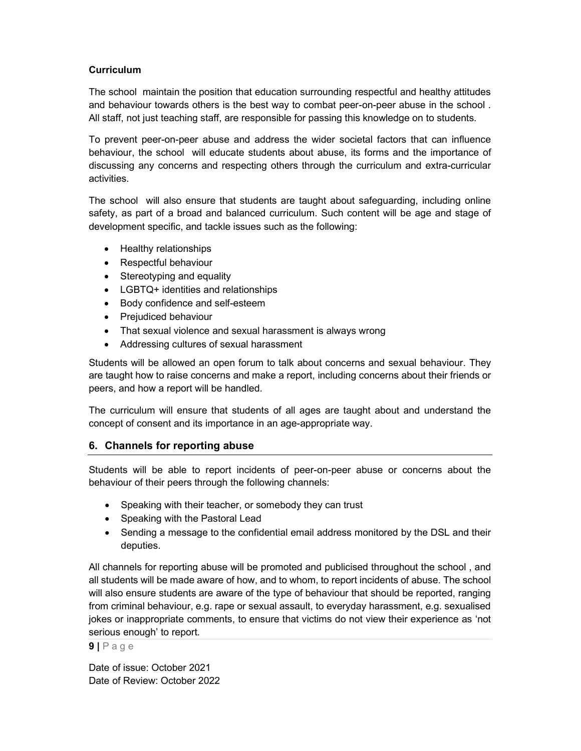# **Curriculum**

The school maintain the position that education surrounding respectful and healthy attitudes and behaviour towards others is the best way to combat peer-on-peer abuse in the school . All staff, not just teaching staff, are responsible for passing this knowledge on to students.

To prevent peer-on-peer abuse and address the wider societal factors that can influence behaviour, the school will educate students about abuse, its forms and the importance of discussing any concerns and respecting others through the curriculum and extra-curricular activities.

The school will also ensure that students are taught about safeguarding, including online safety, as part of a broad and balanced curriculum. Such content will be age and stage of development specific, and tackle issues such as the following:

- Healthy relationships
- Respectful behaviour
- Stereotyping and equality
- LGBTQ+ identities and relationships
- Body confidence and self-esteem
- Prejudiced behaviour
- That sexual violence and sexual harassment is always wrong
- Addressing cultures of sexual harassment

Students will be allowed an open forum to talk about concerns and sexual behaviour. They are taught how to raise concerns and make a report, including concerns about their friends or peers, and how a report will be handled.

The curriculum will ensure that students of all ages are taught about and understand the concept of consent and its importance in an age-appropriate way.

# 6. Channels for reporting abuse

Students will be able to report incidents of peer-on-peer abuse or concerns about the behaviour of their peers through the following channels:

- Speaking with their teacher, or somebody they can trust
- Speaking with the Pastoral Lead
- Sending a message to the confidential email address monitored by the DSL and their deputies.

All channels for reporting abuse will be promoted and publicised throughout the school , and all students will be made aware of how, and to whom, to report incidents of abuse. The school will also ensure students are aware of the type of behaviour that should be reported, ranging from criminal behaviour, e.g. rape or sexual assault, to everyday harassment, e.g. sexualised jokes or inappropriate comments, to ensure that victims do not view their experience as 'not serious enough' to report.

 $9$  | P a g e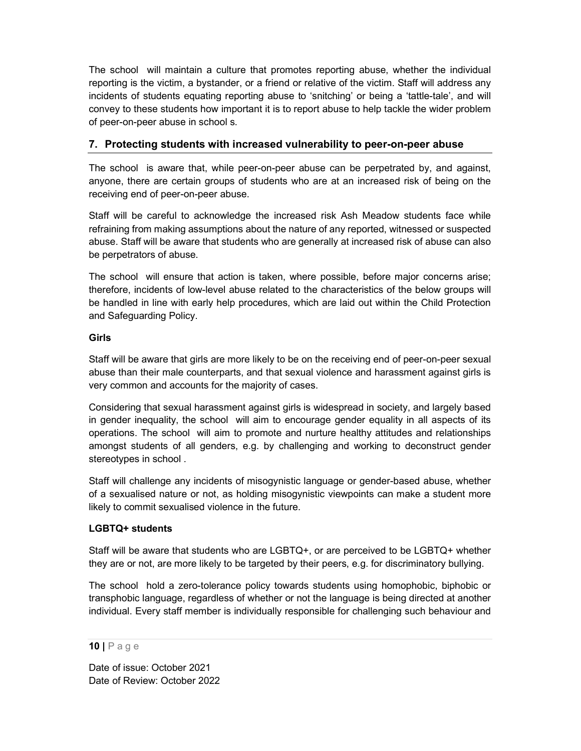The school will maintain a culture that promotes reporting abuse, whether the individual reporting is the victim, a bystander, or a friend or relative of the victim. Staff will address any incidents of students equating reporting abuse to 'snitching' or being a 'tattle-tale', and will convey to these students how important it is to report abuse to help tackle the wider problem of peer-on-peer abuse in school s.

# 7. Protecting students with increased vulnerability to peer-on-peer abuse

The school is aware that, while peer-on-peer abuse can be perpetrated by, and against, anyone, there are certain groups of students who are at an increased risk of being on the receiving end of peer-on-peer abuse.

Staff will be careful to acknowledge the increased risk Ash Meadow students face while refraining from making assumptions about the nature of any reported, witnessed or suspected abuse. Staff will be aware that students who are generally at increased risk of abuse can also be perpetrators of abuse.

The school will ensure that action is taken, where possible, before major concerns arise; therefore, incidents of low-level abuse related to the characteristics of the below groups will be handled in line with early help procedures, which are laid out within the Child Protection and Safeguarding Policy.

### Girls

Staff will be aware that girls are more likely to be on the receiving end of peer-on-peer sexual abuse than their male counterparts, and that sexual violence and harassment against girls is very common and accounts for the majority of cases.

Considering that sexual harassment against girls is widespread in society, and largely based in gender inequality, the school will aim to encourage gender equality in all aspects of its operations. The school will aim to promote and nurture healthy attitudes and relationships amongst students of all genders, e.g. by challenging and working to deconstruct gender stereotypes in school .

Staff will challenge any incidents of misogynistic language or gender-based abuse, whether of a sexualised nature or not, as holding misogynistic viewpoints can make a student more likely to commit sexualised violence in the future.

#### LGBTQ+ students

Staff will be aware that students who are LGBTQ+, or are perceived to be LGBTQ+ whether they are or not, are more likely to be targeted by their peers, e.g. for discriminatory bullying.

The school hold a zero-tolerance policy towards students using homophobic, biphobic or transphobic language, regardless of whether or not the language is being directed at another individual. Every staff member is individually responsible for challenging such behaviour and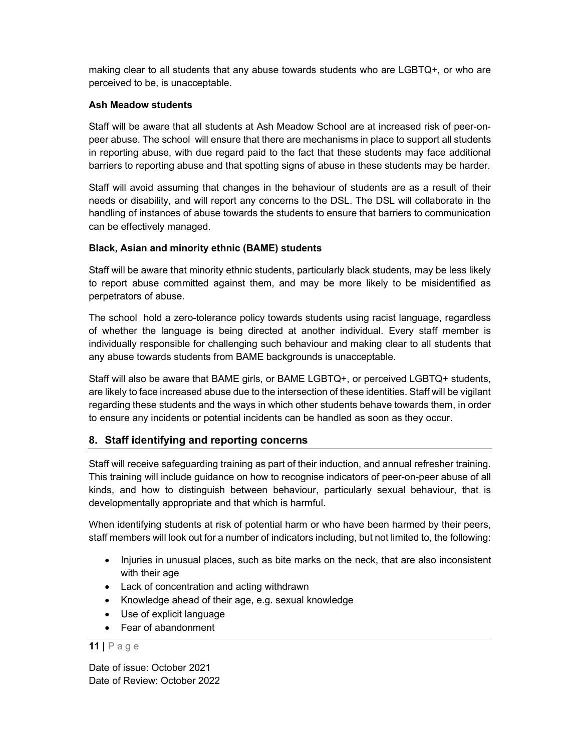making clear to all students that any abuse towards students who are LGBTQ+, or who are perceived to be, is unacceptable.

### Ash Meadow students

Staff will be aware that all students at Ash Meadow School are at increased risk of peer-onpeer abuse. The school will ensure that there are mechanisms in place to support all students in reporting abuse, with due regard paid to the fact that these students may face additional barriers to reporting abuse and that spotting signs of abuse in these students may be harder.

Staff will avoid assuming that changes in the behaviour of students are as a result of their needs or disability, and will report any concerns to the DSL. The DSL will collaborate in the handling of instances of abuse towards the students to ensure that barriers to communication can be effectively managed.

### Black, Asian and minority ethnic (BAME) students

Staff will be aware that minority ethnic students, particularly black students, may be less likely to report abuse committed against them, and may be more likely to be misidentified as perpetrators of abuse.

The school hold a zero-tolerance policy towards students using racist language, regardless of whether the language is being directed at another individual. Every staff member is individually responsible for challenging such behaviour and making clear to all students that any abuse towards students from BAME backgrounds is unacceptable.

Staff will also be aware that BAME girls, or BAME LGBTQ+, or perceived LGBTQ+ students, are likely to face increased abuse due to the intersection of these identities. Staff will be vigilant regarding these students and the ways in which other students behave towards them, in order to ensure any incidents or potential incidents can be handled as soon as they occur.

## 8. Staff identifying and reporting concerns

Staff will receive safeguarding training as part of their induction, and annual refresher training. This training will include guidance on how to recognise indicators of peer-on-peer abuse of all kinds, and how to distinguish between behaviour, particularly sexual behaviour, that is developmentally appropriate and that which is harmful.

When identifying students at risk of potential harm or who have been harmed by their peers, staff members will look out for a number of indicators including, but not limited to, the following:

- Injuries in unusual places, such as bite marks on the neck, that are also inconsistent with their age
- Lack of concentration and acting withdrawn
- Knowledge ahead of their age, e.g. sexual knowledge
- Use of explicit language
- Fear of abandonment

#### $11$  | P a g e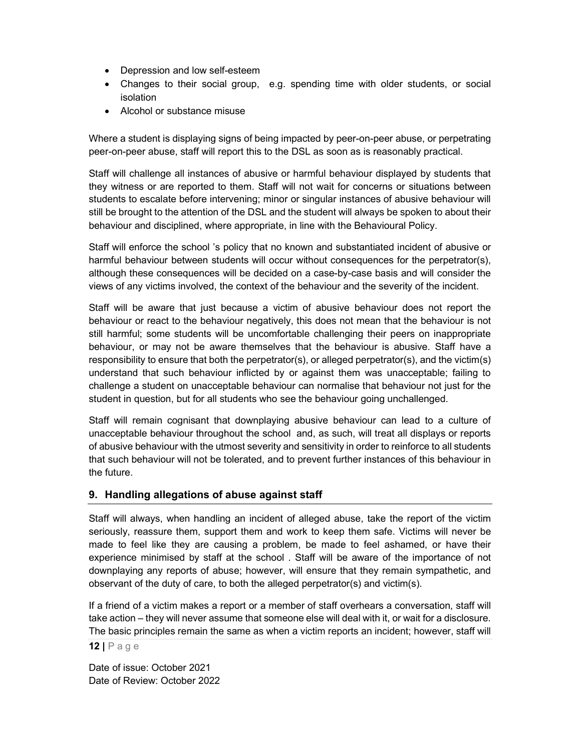- Depression and low self-esteem
- Changes to their social group, e.g. spending time with older students, or social isolation
- Alcohol or substance misuse

Where a student is displaying signs of being impacted by peer-on-peer abuse, or perpetrating peer-on-peer abuse, staff will report this to the DSL as soon as is reasonably practical.

Staff will challenge all instances of abusive or harmful behaviour displayed by students that they witness or are reported to them. Staff will not wait for concerns or situations between students to escalate before intervening; minor or singular instances of abusive behaviour will still be brought to the attention of the DSL and the student will always be spoken to about their behaviour and disciplined, where appropriate, in line with the Behavioural Policy.

Staff will enforce the school 's policy that no known and substantiated incident of abusive or harmful behaviour between students will occur without consequences for the perpetrator(s), although these consequences will be decided on a case-by-case basis and will consider the views of any victims involved, the context of the behaviour and the severity of the incident.

Staff will be aware that just because a victim of abusive behaviour does not report the behaviour or react to the behaviour negatively, this does not mean that the behaviour is not still harmful; some students will be uncomfortable challenging their peers on inappropriate behaviour, or may not be aware themselves that the behaviour is abusive. Staff have a responsibility to ensure that both the perpetrator(s), or alleged perpetrator(s), and the victim(s) understand that such behaviour inflicted by or against them was unacceptable; failing to challenge a student on unacceptable behaviour can normalise that behaviour not just for the student in question, but for all students who see the behaviour going unchallenged.

Staff will remain cognisant that downplaying abusive behaviour can lead to a culture of unacceptable behaviour throughout the school and, as such, will treat all displays or reports of abusive behaviour with the utmost severity and sensitivity in order to reinforce to all students that such behaviour will not be tolerated, and to prevent further instances of this behaviour in the future.

## 9. Handling allegations of abuse against staff

Staff will always, when handling an incident of alleged abuse, take the report of the victim seriously, reassure them, support them and work to keep them safe. Victims will never be made to feel like they are causing a problem, be made to feel ashamed, or have their experience minimised by staff at the school . Staff will be aware of the importance of not downplaying any reports of abuse; however, will ensure that they remain sympathetic, and observant of the duty of care, to both the alleged perpetrator(s) and victim(s).

If a friend of a victim makes a report or a member of staff overhears a conversation, staff will take action – they will never assume that someone else will deal with it, or wait for a disclosure. The basic principles remain the same as when a victim reports an incident; however, staff will

 $12$  | P a g e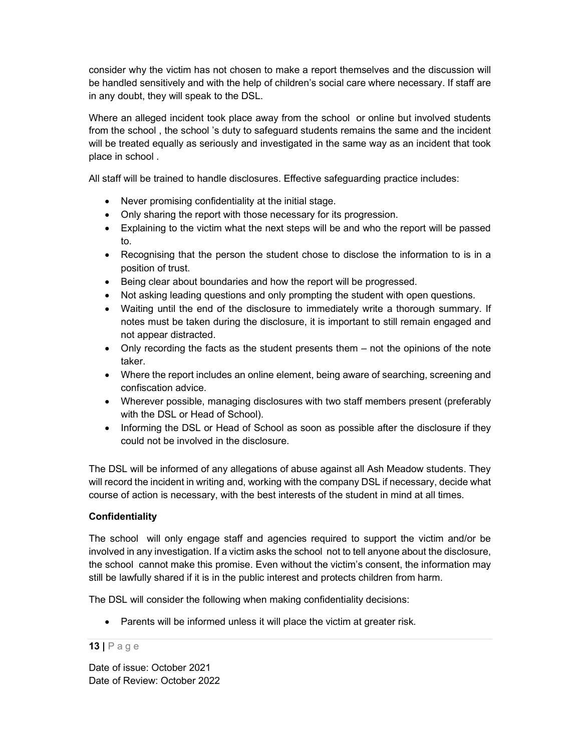consider why the victim has not chosen to make a report themselves and the discussion will be handled sensitively and with the help of children's social care where necessary. If staff are in any doubt, they will speak to the DSL.

Where an alleged incident took place away from the school or online but involved students from the school , the school 's duty to safeguard students remains the same and the incident will be treated equally as seriously and investigated in the same way as an incident that took place in school .

All staff will be trained to handle disclosures. Effective safeguarding practice includes:

- Never promising confidentiality at the initial stage.
- Only sharing the report with those necessary for its progression.
- Explaining to the victim what the next steps will be and who the report will be passed to.
- Recognising that the person the student chose to disclose the information to is in a position of trust.
- Being clear about boundaries and how the report will be progressed.
- Not asking leading questions and only prompting the student with open questions.
- Waiting until the end of the disclosure to immediately write a thorough summary. If notes must be taken during the disclosure, it is important to still remain engaged and not appear distracted.
- Only recording the facts as the student presents them not the opinions of the note taker.
- Where the report includes an online element, being aware of searching, screening and confiscation advice.
- Wherever possible, managing disclosures with two staff members present (preferably with the DSL or Head of School).
- Informing the DSL or Head of School as soon as possible after the disclosure if they could not be involved in the disclosure.

The DSL will be informed of any allegations of abuse against all Ash Meadow students. They will record the incident in writing and, working with the company DSL if necessary, decide what course of action is necessary, with the best interests of the student in mind at all times.

## **Confidentiality**

The school will only engage staff and agencies required to support the victim and/or be involved in any investigation. If a victim asks the school not to tell anyone about the disclosure, the school cannot make this promise. Even without the victim's consent, the information may still be lawfully shared if it is in the public interest and protects children from harm.

The DSL will consider the following when making confidentiality decisions:

• Parents will be informed unless it will place the victim at greater risk.

#### $13$  | P a g e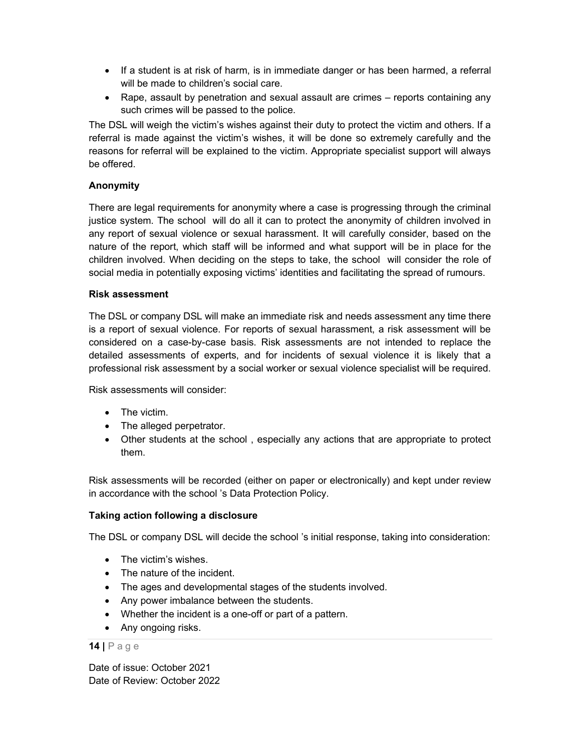- If a student is at risk of harm, is in immediate danger or has been harmed, a referral will be made to children's social care.
- Rape, assault by penetration and sexual assault are crimes reports containing any such crimes will be passed to the police.

The DSL will weigh the victim's wishes against their duty to protect the victim and others. If a referral is made against the victim's wishes, it will be done so extremely carefully and the reasons for referral will be explained to the victim. Appropriate specialist support will always be offered.

## Anonymity

There are legal requirements for anonymity where a case is progressing through the criminal justice system. The school will do all it can to protect the anonymity of children involved in any report of sexual violence or sexual harassment. It will carefully consider, based on the nature of the report, which staff will be informed and what support will be in place for the children involved. When deciding on the steps to take, the school will consider the role of social media in potentially exposing victims' identities and facilitating the spread of rumours.

#### Risk assessment

The DSL or company DSL will make an immediate risk and needs assessment any time there is a report of sexual violence. For reports of sexual harassment, a risk assessment will be considered on a case-by-case basis. Risk assessments are not intended to replace the detailed assessments of experts, and for incidents of sexual violence it is likely that a professional risk assessment by a social worker or sexual violence specialist will be required.

Risk assessments will consider:

- The victim.
- The alleged perpetrator.
- Other students at the school , especially any actions that are appropriate to protect them.

Risk assessments will be recorded (either on paper or electronically) and kept under review in accordance with the school 's Data Protection Policy.

#### Taking action following a disclosure

The DSL or company DSL will decide the school 's initial response, taking into consideration:

- The victim's wishes.
- The nature of the incident.
- The ages and developmental stages of the students involved.
- Any power imbalance between the students.
- Whether the incident is a one-off or part of a pattern.
- Any ongoing risks.

#### $14$  | P a g e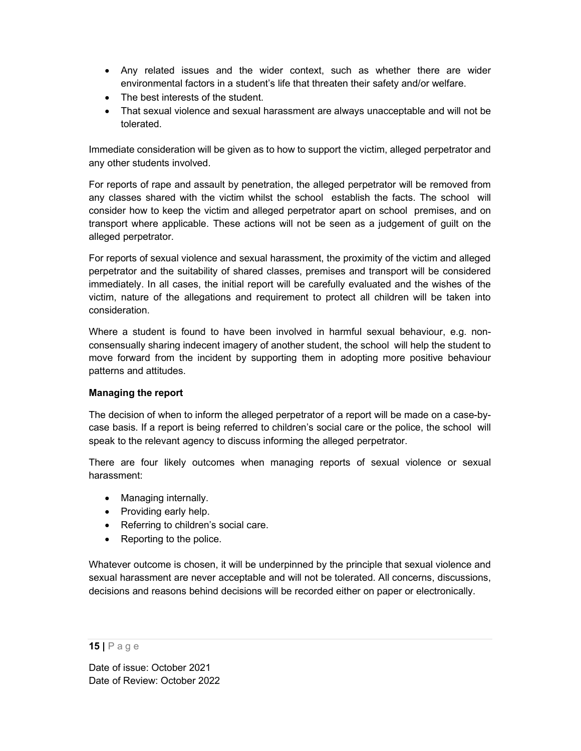- Any related issues and the wider context, such as whether there are wider environmental factors in a student's life that threaten their safety and/or welfare.
- The best interests of the student.
- That sexual violence and sexual harassment are always unacceptable and will not be tolerated.

Immediate consideration will be given as to how to support the victim, alleged perpetrator and any other students involved.

For reports of rape and assault by penetration, the alleged perpetrator will be removed from any classes shared with the victim whilst the school establish the facts. The school will consider how to keep the victim and alleged perpetrator apart on school premises, and on transport where applicable. These actions will not be seen as a judgement of guilt on the alleged perpetrator.

For reports of sexual violence and sexual harassment, the proximity of the victim and alleged perpetrator and the suitability of shared classes, premises and transport will be considered immediately. In all cases, the initial report will be carefully evaluated and the wishes of the victim, nature of the allegations and requirement to protect all children will be taken into consideration.

Where a student is found to have been involved in harmful sexual behaviour, e.g. nonconsensually sharing indecent imagery of another student, the school will help the student to move forward from the incident by supporting them in adopting more positive behaviour patterns and attitudes.

## Managing the report

The decision of when to inform the alleged perpetrator of a report will be made on a case-bycase basis. If a report is being referred to children's social care or the police, the school will speak to the relevant agency to discuss informing the alleged perpetrator.

There are four likely outcomes when managing reports of sexual violence or sexual harassment:

- Managing internally.
- Providing early help.
- Referring to children's social care.
- Reporting to the police.

Whatever outcome is chosen, it will be underpinned by the principle that sexual violence and sexual harassment are never acceptable and will not be tolerated. All concerns, discussions, decisions and reasons behind decisions will be recorded either on paper or electronically.

 $15$  | Page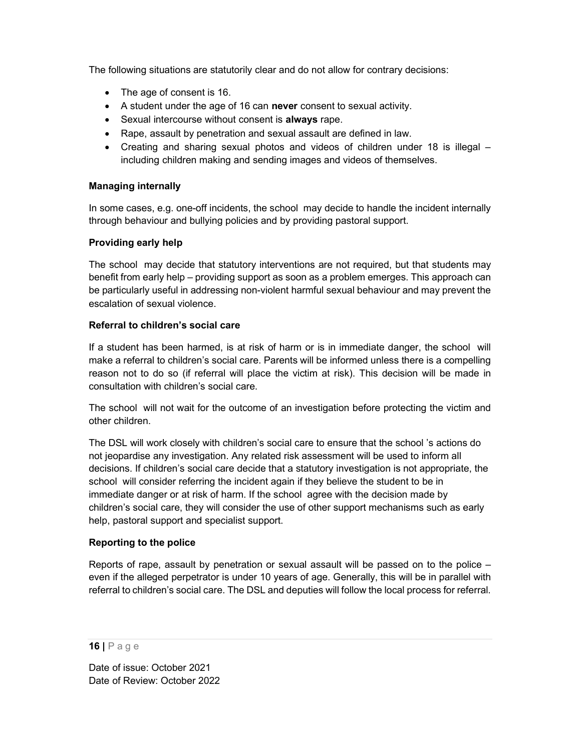The following situations are statutorily clear and do not allow for contrary decisions:

- The age of consent is 16.
- A student under the age of 16 can never consent to sexual activity.
- Sexual intercourse without consent is always rape.
- Rape, assault by penetration and sexual assault are defined in law.
- Creating and sharing sexual photos and videos of children under 18 is illegal including children making and sending images and videos of themselves.

### Managing internally

In some cases, e.g. one-off incidents, the school may decide to handle the incident internally through behaviour and bullying policies and by providing pastoral support.

### Providing early help

The school may decide that statutory interventions are not required, but that students may benefit from early help – providing support as soon as a problem emerges. This approach can be particularly useful in addressing non-violent harmful sexual behaviour and may prevent the escalation of sexual violence.

### Referral to children's social care

If a student has been harmed, is at risk of harm or is in immediate danger, the school will make a referral to children's social care. Parents will be informed unless there is a compelling reason not to do so (if referral will place the victim at risk). This decision will be made in consultation with children's social care.

The school will not wait for the outcome of an investigation before protecting the victim and other children.

The DSL will work closely with children's social care to ensure that the school 's actions do not jeopardise any investigation. Any related risk assessment will be used to inform all decisions. If children's social care decide that a statutory investigation is not appropriate, the school will consider referring the incident again if they believe the student to be in immediate danger or at risk of harm. If the school agree with the decision made by children's social care, they will consider the use of other support mechanisms such as early help, pastoral support and specialist support.

## Reporting to the police

Reports of rape, assault by penetration or sexual assault will be passed on to the police – even if the alleged perpetrator is under 10 years of age. Generally, this will be in parallel with referral to children's social care. The DSL and deputies will follow the local process for referral.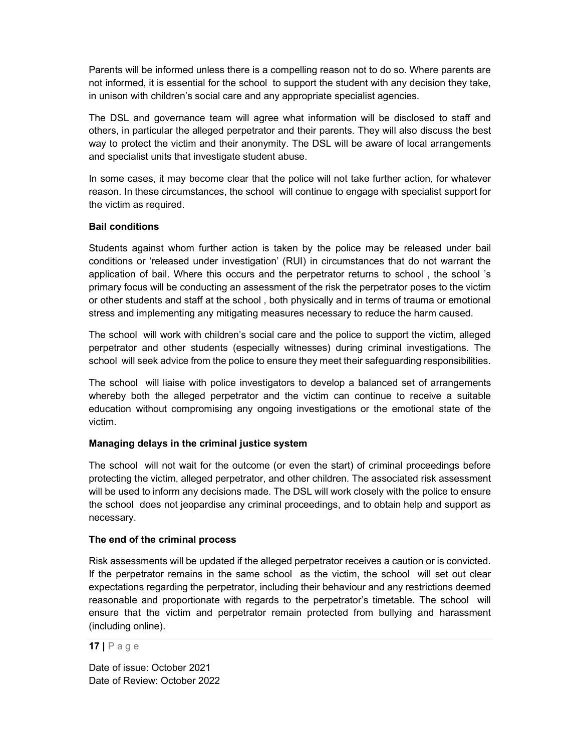Parents will be informed unless there is a compelling reason not to do so. Where parents are not informed, it is essential for the school to support the student with any decision they take, in unison with children's social care and any appropriate specialist agencies.

The DSL and governance team will agree what information will be disclosed to staff and others, in particular the alleged perpetrator and their parents. They will also discuss the best way to protect the victim and their anonymity. The DSL will be aware of local arrangements and specialist units that investigate student abuse.

In some cases, it may become clear that the police will not take further action, for whatever reason. In these circumstances, the school will continue to engage with specialist support for the victim as required.

#### Bail conditions

Students against whom further action is taken by the police may be released under bail conditions or 'released under investigation' (RUI) in circumstances that do not warrant the application of bail. Where this occurs and the perpetrator returns to school , the school 's primary focus will be conducting an assessment of the risk the perpetrator poses to the victim or other students and staff at the school , both physically and in terms of trauma or emotional stress and implementing any mitigating measures necessary to reduce the harm caused.

The school will work with children's social care and the police to support the victim, alleged perpetrator and other students (especially witnesses) during criminal investigations. The school will seek advice from the police to ensure they meet their safeguarding responsibilities.

The school will liaise with police investigators to develop a balanced set of arrangements whereby both the alleged perpetrator and the victim can continue to receive a suitable education without compromising any ongoing investigations or the emotional state of the victim.

#### Managing delays in the criminal justice system

The school will not wait for the outcome (or even the start) of criminal proceedings before protecting the victim, alleged perpetrator, and other children. The associated risk assessment will be used to inform any decisions made. The DSL will work closely with the police to ensure the school does not jeopardise any criminal proceedings, and to obtain help and support as necessary.

#### The end of the criminal process

Risk assessments will be updated if the alleged perpetrator receives a caution or is convicted. If the perpetrator remains in the same school as the victim, the school will set out clear expectations regarding the perpetrator, including their behaviour and any restrictions deemed reasonable and proportionate with regards to the perpetrator's timetable. The school will ensure that the victim and perpetrator remain protected from bullying and harassment (including online).

 $17$  | P a g e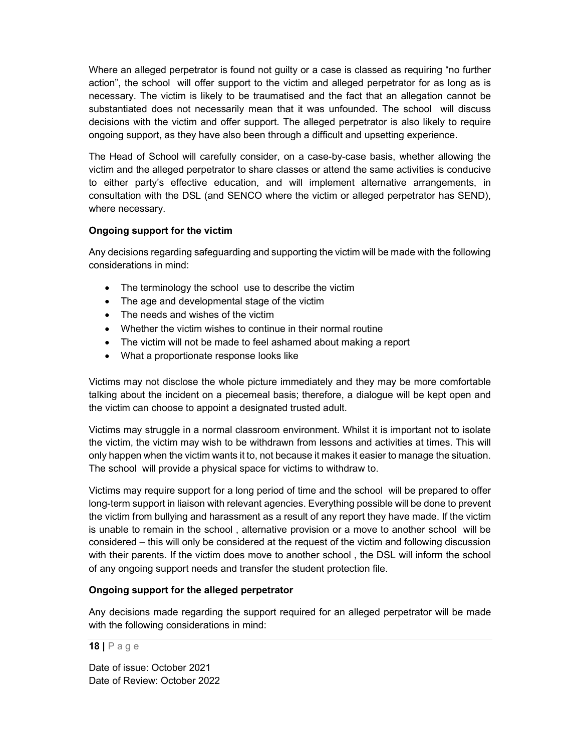Where an alleged perpetrator is found not guilty or a case is classed as requiring "no further action", the school will offer support to the victim and alleged perpetrator for as long as is necessary. The victim is likely to be traumatised and the fact that an allegation cannot be substantiated does not necessarily mean that it was unfounded. The school will discuss decisions with the victim and offer support. The alleged perpetrator is also likely to require ongoing support, as they have also been through a difficult and upsetting experience.

The Head of School will carefully consider, on a case-by-case basis, whether allowing the victim and the alleged perpetrator to share classes or attend the same activities is conducive to either party's effective education, and will implement alternative arrangements, in consultation with the DSL (and SENCO where the victim or alleged perpetrator has SEND), where necessary.

#### Ongoing support for the victim

Any decisions regarding safeguarding and supporting the victim will be made with the following considerations in mind:

- The terminology the school use to describe the victim
- The age and developmental stage of the victim
- The needs and wishes of the victim
- Whether the victim wishes to continue in their normal routine
- The victim will not be made to feel ashamed about making a report
- What a proportionate response looks like

Victims may not disclose the whole picture immediately and they may be more comfortable talking about the incident on a piecemeal basis; therefore, a dialogue will be kept open and the victim can choose to appoint a designated trusted adult.

Victims may struggle in a normal classroom environment. Whilst it is important not to isolate the victim, the victim may wish to be withdrawn from lessons and activities at times. This will only happen when the victim wants it to, not because it makes it easier to manage the situation. The school will provide a physical space for victims to withdraw to.

Victims may require support for a long period of time and the school will be prepared to offer long-term support in liaison with relevant agencies. Everything possible will be done to prevent the victim from bullying and harassment as a result of any report they have made. If the victim is unable to remain in the school , alternative provision or a move to another school will be considered – this will only be considered at the request of the victim and following discussion with their parents. If the victim does move to another school , the DSL will inform the school of any ongoing support needs and transfer the student protection file.

#### Ongoing support for the alleged perpetrator

Any decisions made regarding the support required for an alleged perpetrator will be made with the following considerations in mind: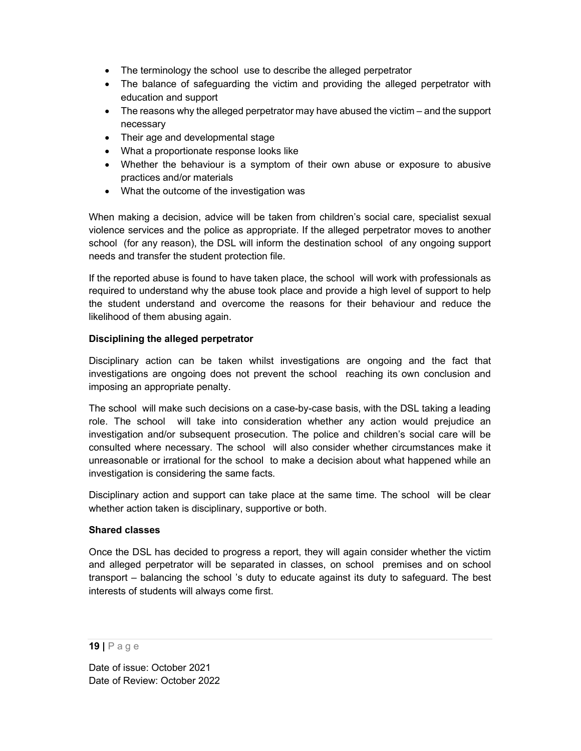- The terminology the school use to describe the alleged perpetrator
- The balance of safeguarding the victim and providing the alleged perpetrator with education and support
- The reasons why the alleged perpetrator may have abused the victim and the support necessary
- Their age and developmental stage
- What a proportionate response looks like
- Whether the behaviour is a symptom of their own abuse or exposure to abusive practices and/or materials
- What the outcome of the investigation was

When making a decision, advice will be taken from children's social care, specialist sexual violence services and the police as appropriate. If the alleged perpetrator moves to another school (for any reason), the DSL will inform the destination school of any ongoing support needs and transfer the student protection file.

If the reported abuse is found to have taken place, the school will work with professionals as required to understand why the abuse took place and provide a high level of support to help the student understand and overcome the reasons for their behaviour and reduce the likelihood of them abusing again.

### Disciplining the alleged perpetrator

Disciplinary action can be taken whilst investigations are ongoing and the fact that investigations are ongoing does not prevent the school reaching its own conclusion and imposing an appropriate penalty.

The school will make such decisions on a case-by-case basis, with the DSL taking a leading role. The school will take into consideration whether any action would prejudice an investigation and/or subsequent prosecution. The police and children's social care will be consulted where necessary. The school will also consider whether circumstances make it unreasonable or irrational for the school to make a decision about what happened while an investigation is considering the same facts.

Disciplinary action and support can take place at the same time. The school will be clear whether action taken is disciplinary, supportive or both.

#### Shared classes

Once the DSL has decided to progress a report, they will again consider whether the victim and alleged perpetrator will be separated in classes, on school premises and on school transport – balancing the school 's duty to educate against its duty to safeguard. The best interests of students will always come first.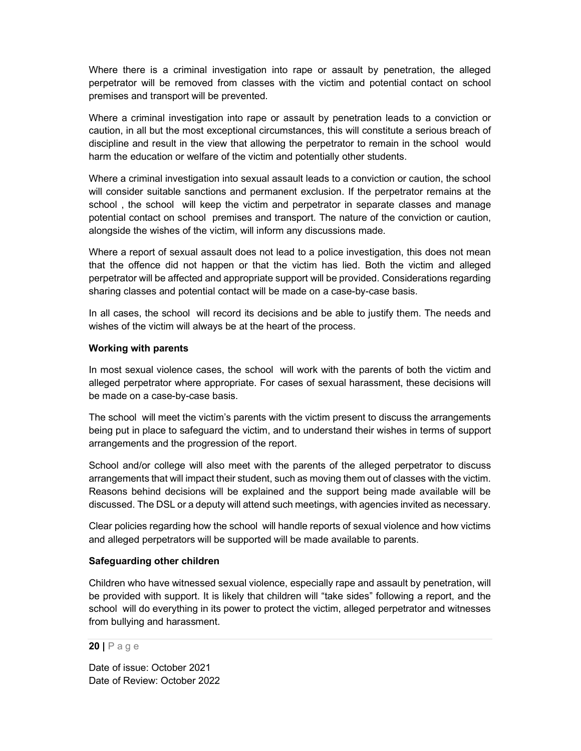Where there is a criminal investigation into rape or assault by penetration, the alleged perpetrator will be removed from classes with the victim and potential contact on school premises and transport will be prevented.

Where a criminal investigation into rape or assault by penetration leads to a conviction or caution, in all but the most exceptional circumstances, this will constitute a serious breach of discipline and result in the view that allowing the perpetrator to remain in the school would harm the education or welfare of the victim and potentially other students.

Where a criminal investigation into sexual assault leads to a conviction or caution, the school will consider suitable sanctions and permanent exclusion. If the perpetrator remains at the school , the school will keep the victim and perpetrator in separate classes and manage potential contact on school premises and transport. The nature of the conviction or caution, alongside the wishes of the victim, will inform any discussions made.

Where a report of sexual assault does not lead to a police investigation, this does not mean that the offence did not happen or that the victim has lied. Both the victim and alleged perpetrator will be affected and appropriate support will be provided. Considerations regarding sharing classes and potential contact will be made on a case-by-case basis.

In all cases, the school will record its decisions and be able to justify them. The needs and wishes of the victim will always be at the heart of the process.

#### Working with parents

In most sexual violence cases, the school will work with the parents of both the victim and alleged perpetrator where appropriate. For cases of sexual harassment, these decisions will be made on a case-by-case basis.

The school will meet the victim's parents with the victim present to discuss the arrangements being put in place to safeguard the victim, and to understand their wishes in terms of support arrangements and the progression of the report.

School and/or college will also meet with the parents of the alleged perpetrator to discuss arrangements that will impact their student, such as moving them out of classes with the victim. Reasons behind decisions will be explained and the support being made available will be discussed. The DSL or a deputy will attend such meetings, with agencies invited as necessary.

Clear policies regarding how the school will handle reports of sexual violence and how victims and alleged perpetrators will be supported will be made available to parents.

#### Safeguarding other children

Children who have witnessed sexual violence, especially rape and assault by penetration, will be provided with support. It is likely that children will "take sides" following a report, and the school will do everything in its power to protect the victim, alleged perpetrator and witnesses from bullying and harassment.

 $20$  | P a g e